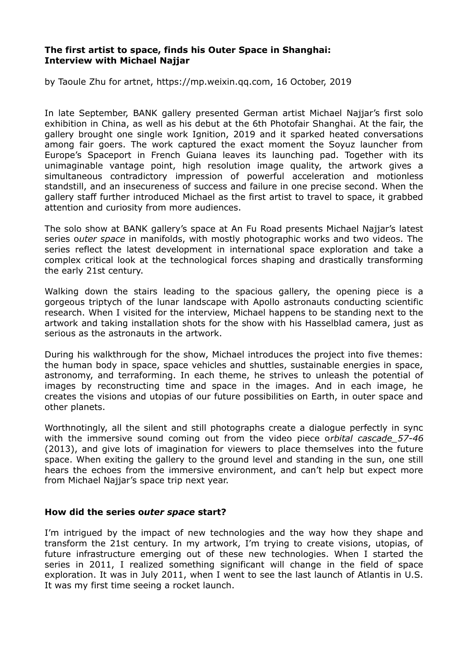### **The first artist to space, finds his Outer Space in Shanghai: Interview with Michael Najjar**

by Taoule Zhu for artnet, https://mp.weixin.qq.com, 16 October, 2019

In late September, BANK gallery presented German artist Michael Najjar's first solo exhibition in China, as well as his debut at the 6th Photofair Shanghai. At the fair, the gallery brought one single work Ignition, 2019 and it sparked heated conversations among fair goers. The work captured the exact moment the Soyuz launcher from Europe's Spaceport in French Guiana leaves its launching pad. Together with its unimaginable vantage point, high resolution image quality, the artwork gives a simultaneous contradictory impression of powerful acceleration and motionless standstill, and an insecureness of success and failure in one precise second. When the gallery staff further introduced Michael as the first artist to travel to space, it grabbed attention and curiosity from more audiences.

The solo show at BANK gallery's space at An Fu Road presents Michael Najjar's latest series o*uter space* in manifolds, with mostly photographic works and two videos. The series reflect the latest development in international space exploration and take a complex critical look at the technological forces shaping and drastically transforming the early 21st century.

Walking down the stairs leading to the spacious gallery, the opening piece is a gorgeous triptych of the lunar landscape with Apollo astronauts conducting scientific research. When I visited for the interview, Michael happens to be standing next to the artwork and taking installation shots for the show with his Hasselblad camera, just as serious as the astronauts in the artwork.

During his walkthrough for the show, Michael introduces the project into five themes: the human body in space, space vehicles and shuttles, sustainable energies in space, astronomy, and terraforming. In each theme, he strives to unleash the potential of images by reconstructing time and space in the images. And in each image, he creates the visions and utopias of our future possibilities on Earth, in outer space and other planets.

Worthnotingly, all the silent and still photographs create a dialogue perfectly in sync with the immersive sound coming out from the video piece o*rbital cascade\_57-46* (2013), and give lots of imagination for viewers to place themselves into the future space. When exiting the gallery to the ground level and standing in the sun, one still hears the echoes from the immersive environment, and can't help but expect more from Michael Najjar's space trip next year.

# **How did the series o***uter space* **start?**

I'm intrigued by the impact of new technologies and the way how they shape and transform the 21st century. In my artwork, I'm trying to create visions, utopias, of future infrastructure emerging out of these new technologies. When I started the series in 2011, I realized something significant will change in the field of space exploration. It was in July 2011, when I went to see the last launch of Atlantis in U.S. It was my first time seeing a rocket launch.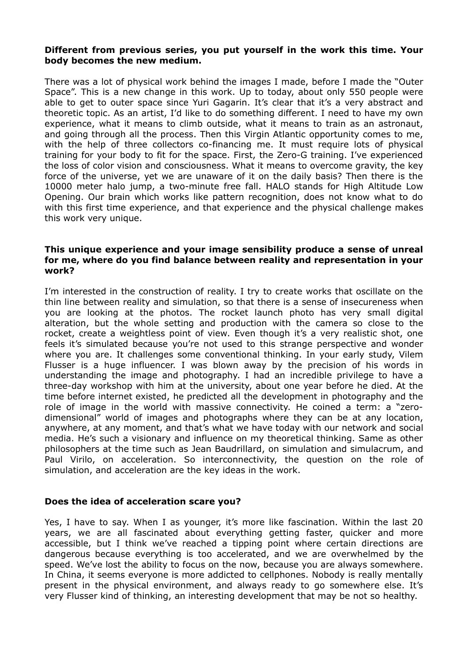### **Different from previous series, you put yourself in the work this time. Your body becomes the new medium.**

There was a lot of physical work behind the images I made, before I made the "Outer Space". This is a new change in this work. Up to today, about only 550 people were able to get to outer space since Yuri Gagarin. It's clear that it's a very abstract and theoretic topic. As an artist, I'd like to do something different. I need to have my own experience, what it means to climb outside, what it means to train as an astronaut, and going through all the process. Then this Virgin Atlantic opportunity comes to me, with the help of three collectors co-financing me. It must require lots of physical training for your body to fit for the space. First, the Zero-G training. I've experienced the loss of color vision and consciousness. What it means to overcome gravity, the key force of the universe, yet we are unaware of it on the daily basis? Then there is the 10000 meter halo jump, a two-minute free fall. HALO stands for High Altitude Low Opening. Our brain which works like pattern recognition, does not know what to do with this first time experience, and that experience and the physical challenge makes this work very unique.

#### **This unique experience and your image sensibility produce a sense of unreal for me, where do you find balance between reality and representation in your work?**

I'm interested in the construction of reality. I try to create works that oscillate on the thin line between reality and simulation, so that there is a sense of insecureness when you are looking at the photos. The rocket launch photo has very small digital alteration, but the whole setting and production with the camera so close to the rocket, create a weightless point of view. Even though it's a very realistic shot, one feels it's simulated because you're not used to this strange perspective and wonder where you are. It challenges some conventional thinking. In your early study, Vilem Flusser is a huge influencer. I was blown away by the precision of his words in understanding the image and photography. I had an incredible privilege to have a three-day workshop with him at the university, about one year before he died. At the time before internet existed, he predicted all the development in photography and the role of image in the world with massive connectivity. He coined a term: a "zerodimensional" world of images and photographs where they can be at any location, anywhere, at any moment, and that's what we have today with our network and social media. He's such a visionary and influence on my theoretical thinking. Same as other philosophers at the time such as Jean Baudrillard, on simulation and simulacrum, and Paul Virilo, on acceleration. So interconnectivity, the question on the role of simulation, and acceleration are the key ideas in the work.

#### **Does the idea of acceleration scare you?**

Yes, I have to say. When I as younger, it's more like fascination. Within the last 20 years, we are all fascinated about everything getting faster, quicker and more accessible, but I think we've reached a tipping point where certain directions are dangerous because everything is too accelerated, and we are overwhelmed by the speed. We've lost the ability to focus on the now, because you are always somewhere. In China, it seems everyone is more addicted to cellphones. Nobody is really mentally present in the physical environment, and always ready to go somewhere else. It's very Flusser kind of thinking, an interesting development that may be not so healthy.